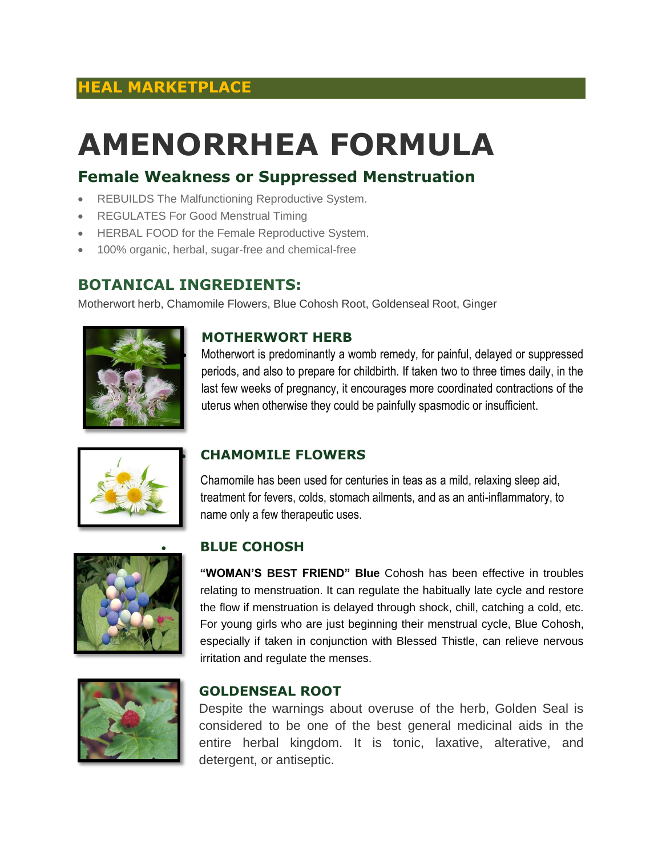## **HEAL MARKETPLACE**

# **AMENORRHEA FORMULA**

## **Female Weakness or Suppressed Menstruation**

- REBUILDS The Malfunctioning Reproductive System.
- REGULATES For Good Menstrual Timing
- HERBAL FOOD for the Female Reproductive System.
- 100% organic, herbal, sugar-free and chemical-free

### **BOTANICAL INGREDIENTS:**

Motherwort herb, Chamomile Flowers, Blue Cohosh Root, Goldenseal Root, Ginger



#### **MOTHERWORT HERB**

 Motherwort is predominantly a womb remedy, for painful, delayed or suppressed periods, and also to prepare for childbirth. If taken two to three times daily, in the last few weeks of pregnancy, it encourages more coordinated contractions of the uterus when otherwise they could be painfully spasmodic or insufficient.



#### **CHAMOMILE FLOWERS**

Chamomile has been used for centuries in teas as a mild, relaxing sleep aid, treatment for fevers, colds, stomach ailments, and as an anti-inflammatory, to name only a few therapeutic uses.



#### **BLUE COHOSH**

**"WOMAN'S BEST FRIEND" Blue** Cohosh has been effective in troubles relating to menstruation. It can regulate the habitually late cycle and restore the flow if menstruation is delayed through shock, chill, catching a cold, etc. For young girls who are just beginning their menstrual cycle, Blue Cohosh, especially if taken in conjunction with Blessed Thistle, can relieve nervous irritation and regulate the menses.



#### **GOLDENSEAL ROOT**

Despite the warnings about overuse of the herb, Golden Seal is considered to be one of the best general medicinal aids in the entire herbal kingdom. It is tonic, laxative, alterative, and detergent, or antiseptic.